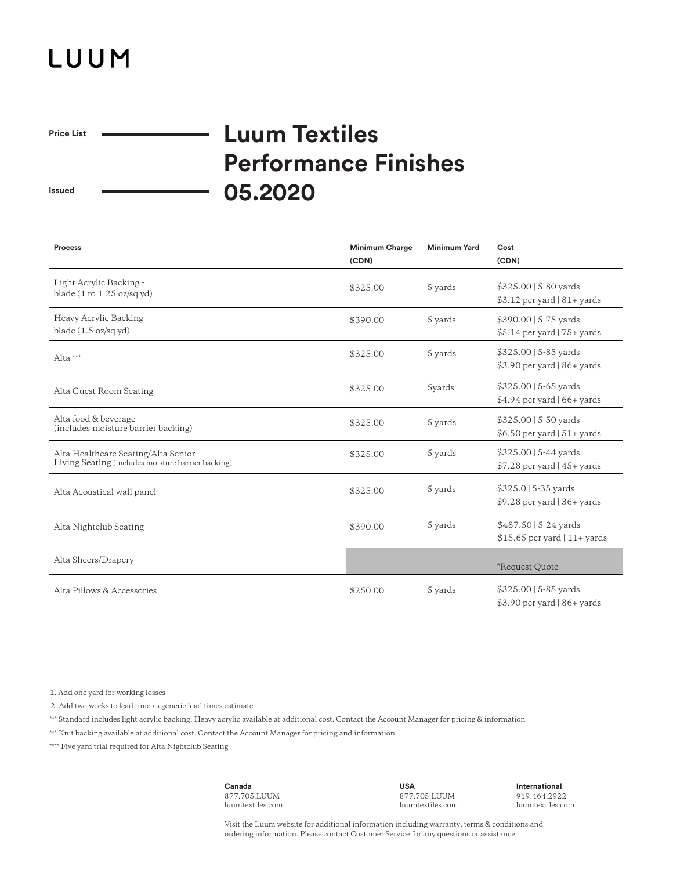## LUUM

 $\overline{\phantom{0}}$ 

**Price List**

## **Luum Textiles Performance Finishes 05.2020**

**Issued**

| <b>Process</b>                                                                            | <b>Minimum Charge</b><br>(CDN) | <b>Minimum Yard</b> | Cost<br>(CDN)                                                      |
|-------------------------------------------------------------------------------------------|--------------------------------|---------------------|--------------------------------------------------------------------|
| Light Acrylic Backing -<br>blade $(1 \text{ to } 1.25 \text{ oz/sq yd})$                  | \$325.00                       | 5 yards             | \$325.00   5-80 yards<br>\$3.12 per yard   81+ yards               |
| Heavy Acrylic Backing -<br>blade $(1.5 \text{ oz/sq yd})$                                 | \$390.00                       | 5 yards             | $$390.00$   5-75 yards<br>$$5.14$ per yard   75+ yards             |
| Alta ***                                                                                  | \$325.00                       | 5 yards             | $$325.00 \mid 5.85 \text{ yards}$<br>$$3.90$ per yard   86+ yards  |
| Alta Guest Room Seating                                                                   | \$325.00                       | 5yards              | $$325.00$   5-65 yards<br>$$4.94$ per yard $ 66+$ yards            |
| Alta food & beverage<br>(includes moisture barrier backing)                               | \$325.00                       | 5 yards             | $$325.00 \mid 5.50 \text{ yards}$<br>\$6.50 per yard $ 51+$ yards  |
| Alta Healthcare Seating/Alta Senior<br>Living Seating (includes moisture barrier backing) | \$325.00                       | 5 yards             | $$325.00 \mid 5-44 \text{ yards}$<br>$$7.28$ per yard $ 45+$ yards |
| Alta Acoustical wall panel                                                                | \$325.00                       | 5 yards             | $$325.0$   5-35 yards<br>\$9.28 per yard   36+ yards               |
| Alta Nightclub Seating                                                                    | \$390.00                       | 5 yards             | $$487.50 5-24$ yards<br>$$15.65$ per yard   11+ yards              |
| Alta Sheers/Drapery                                                                       |                                |                     | *Request Quote                                                     |
| Alta Pillows & Accessories                                                                | \$250.00                       | 5 yards             | $$325.00 \mid 5.85 \text{ yards}$<br>$$3.90$ per yard   86+ yards  |

1. Add one yard for working losses

2. Add two weeks to lead time as generic lead times estimate

\*\*\* Standard includes light acrylic backing. Heavy acrylic available at additional cost. Contact the Account Manager for pricing & information

\*\*\* Knit backing available at additional cost. Contact the Account Manager for pricing and information

\*\*\*\* Five yard trial required for Alta Nightclub Seating

**Canada** 877.705.LUUM luumtextiles.com

**USA** 877.705.LUUM luumtextiles.com **International** 919.464.2922 luumtextiles.com

Visit the Luum website for additional information including warranty, terms & conditions and ordering information. Please contact Customer Service for any questions or assistance.